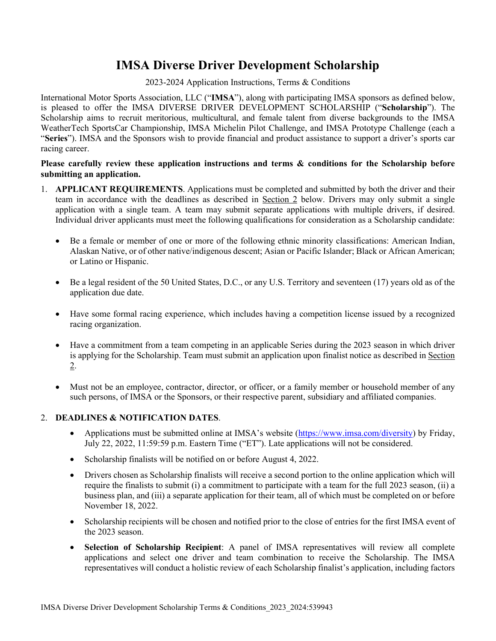# **IMSA Diverse Driver Development Scholarship**

### 2023-2024 Application Instructions, Terms & Conditions

International Motor Sports Association, LLC ("**IMSA**"), along with participating IMSA sponsors as defined below, is pleased to offer the IMSA DIVERSE DRIVER DEVELOPMENT SCHOLARSHIP ("**Scholarship**"). The Scholarship aims to recruit meritorious, multicultural, and female talent from diverse backgrounds to the IMSA WeatherTech SportsCar Championship, IMSA Michelin Pilot Challenge, and IMSA Prototype Challenge (each a "**Series**"). IMSA and the Sponsors wish to provide financial and product assistance to support a driver's sports car racing career.

## **Please carefully review these application instructions and terms & conditions for the Scholarship before submitting an application.**

- 1. **APPLICANT REQUIREMENTS**. Applications must be completed and submitted by both the driver and their team in accordance with the deadlines as described in Section 2 below. Drivers may only submit a single application with a single team. A team may submit separate applications with multiple drivers, if desired. Individual driver applicants must meet the following qualifications for consideration as a Scholarship candidate:
	- Be a female or member of one or more of the following ethnic minority classifications: American Indian, Alaskan Native, or of other native/indigenous descent; Asian or Pacific Islander; Black or African American; or Latino or Hispanic.
	- Be a legal resident of the 50 United States, D.C., or any U.S. Territory and seventeen (17) years old as of the application due date.
	- Have some formal racing experience, which includes having a competition license issued by a recognized racing organization.
	- Have a commitment from a team competing in an applicable Series during the 2023 season in which driver is applying for the Scholarship. Team must submit an application upon finalist notice as described in Section 2.
	- Must not be an employee, contractor, director, or officer, or a family member or household member of any such persons, of IMSA or the Sponsors, or their respective parent, subsidiary and affiliated companies.

## 2. **DEADLINES & NOTIFICATION DATES**.

- Applications must be submitted online at IMSA's website [\(https://www.imsa.com/diversity\)](https://www.imsa.com/diversity) by Friday, July 22, 2022, 11:59:59 p.m. Eastern Time ("ET"). Late applications will not be considered.
- Scholarship finalists will be notified on or before August 4, 2022.
- Drivers chosen as Scholarship finalists will receive a second portion to the online application which will require the finalists to submit (i) a commitment to participate with a team for the full 2023 season, (ii) a business plan, and (iii) a separate application for their team, all of which must be completed on or before November 18, 2022.
- Scholarship recipients will be chosen and notified prior to the close of entries for the first IMSA event of the 2023 season.
- **Selection of Scholarship Recipient**: A panel of IMSA representatives will review all complete applications and select one driver and team combination to receive the Scholarship. The IMSA representatives will conduct a holistic review of each Scholarship finalist's application, including factors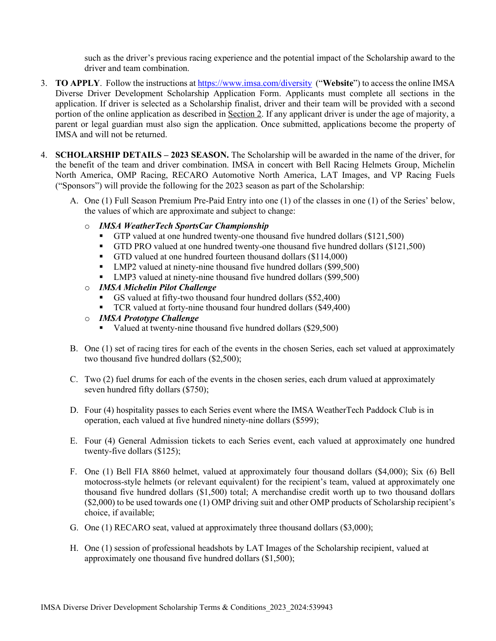such as the driver's previous racing experience and the potential impact of the Scholarship award to the driver and team combination.

- 3. **TO APPLY**. Follow the instructions at<https://www.imsa.com/diversity>("**Website**") to access the online IMSA Diverse Driver Development Scholarship Application Form. Applicants must complete all sections in the application. If driver is selected as a Scholarship finalist, driver and their team will be provided with a second portion of the online application as described in Section 2. If any applicant driver is under the age of majority, a parent or legal guardian must also sign the application. Once submitted, applications become the property of IMSA and will not be returned.
- 4. **SCHOLARSHIP DETAILS 2023 SEASON.** The Scholarship will be awarded in the name of the driver, for the benefit of the team and driver combination. IMSA in concert with Bell Racing Helmets Group, Michelin North America, OMP Racing, RECARO Automotive North America, LAT Images, and VP Racing Fuels ("Sponsors") will provide the following for the 2023 season as part of the Scholarship:
	- A. One (1) Full Season Premium Pre-Paid Entry into one (1) of the classes in one (1) of the Series' below, the values of which are approximate and subject to change:
		- o *IMSA WeatherTech SportsCar Championship* 
			- GTP valued at one hundred twenty-one thousand five hundred dollars (\$121,500)
			- GTD PRO valued at one hundred twenty-one thousand five hundred dollars (\$121,500)
			- GTD valued at one hundred fourteen thousand dollars (\$114,000)
			- LMP2 valued at ninety-nine thousand five hundred dollars (\$99,500)
			- LMP3 valued at ninety-nine thousand five hundred dollars (\$99,500)
		- o *IMSA Michelin Pilot Challenge*
			- GS valued at fifty-two thousand four hundred dollars (\$52,400)
			- TCR valued at forty-nine thousand four hundred dollars (\$49,400)
		- o *IMSA Prototype Challenge*
			- Valued at twenty-nine thousand five hundred dollars (\$29,500)
	- B. One (1) set of racing tires for each of the events in the chosen Series, each set valued at approximately two thousand five hundred dollars (\$2,500);
	- C. Two (2) fuel drums for each of the events in the chosen series, each drum valued at approximately seven hundred fifty dollars (\$750);
	- D. Four (4) hospitality passes to each Series event where the IMSA WeatherTech Paddock Club is in operation, each valued at five hundred ninety-nine dollars (\$599);
	- E. Four (4) General Admission tickets to each Series event, each valued at approximately one hundred twenty-five dollars (\$125);
	- F. One (1) Bell FIA 8860 helmet, valued at approximately four thousand dollars (\$4,000); Six (6) Bell motocross-style helmets (or relevant equivalent) for the recipient's team, valued at approximately one thousand five hundred dollars (\$1,500) total; A merchandise credit worth up to two thousand dollars (\$2,000) to be used towards one (1) OMP driving suit and other OMP products of Scholarship recipient's choice, if available;
	- G. One (1) RECARO seat, valued at approximately three thousand dollars (\$3,000);
	- H. One (1) session of professional headshots by LAT Images of the Scholarship recipient, valued at approximately one thousand five hundred dollars (\$1,500);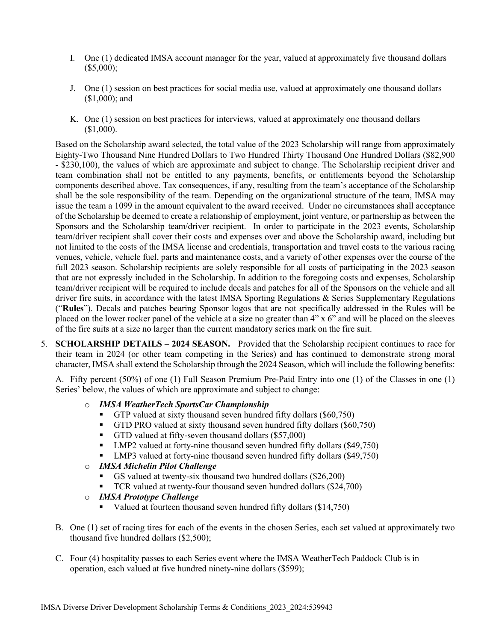- I. One (1) dedicated IMSA account manager for the year, valued at approximately five thousand dollars (\$5,000);
- J. One (1) session on best practices for social media use, valued at approximately one thousand dollars (\$1,000); and
- K. One (1) session on best practices for interviews, valued at approximately one thousand dollars (\$1,000).

Based on the Scholarship award selected, the total value of the 2023 Scholarship will range from approximately Eighty-Two Thousand Nine Hundred Dollars to Two Hundred Thirty Thousand One Hundred Dollars (\$82,900 - \$230,100), the values of which are approximate and subject to change. The Scholarship recipient driver and team combination shall not be entitled to any payments, benefits, or entitlements beyond the Scholarship components described above. Tax consequences, if any, resulting from the team's acceptance of the Scholarship shall be the sole responsibility of the team. Depending on the organizational structure of the team, IMSA may issue the team a 1099 in the amount equivalent to the award received. Under no circumstances shall acceptance of the Scholarship be deemed to create a relationship of employment, joint venture, or partnership as between the Sponsors and the Scholarship team/driver recipient. In order to participate in the 2023 events, Scholarship team/driver recipient shall cover their costs and expenses over and above the Scholarship award, including but not limited to the costs of the IMSA license and credentials, transportation and travel costs to the various racing venues, vehicle, vehicle fuel, parts and maintenance costs, and a variety of other expenses over the course of the full 2023 season. Scholarship recipients are solely responsible for all costs of participating in the 2023 season that are not expressly included in the Scholarship. In addition to the foregoing costs and expenses, Scholarship team/driver recipient will be required to include decals and patches for all of the Sponsors on the vehicle and all driver fire suits, in accordance with the latest IMSA Sporting Regulations & Series Supplementary Regulations ("**Rules**"). Decals and patches bearing Sponsor logos that are not specifically addressed in the Rules will be placed on the lower rocker panel of the vehicle at a size no greater than 4" x 6" and will be placed on the sleeves of the fire suits at a size no larger than the current mandatory series mark on the fire suit.

5. **SCHOLARSHIP DETAILS – 2024 SEASON.** Provided that the Scholarship recipient continues to race for their team in 2024 (or other team competing in the Series) and has continued to demonstrate strong moral character, IMSA shall extend the Scholarship through the 2024 Season, which will include the following benefits:

A. Fifty percent (50%) of one (1) Full Season Premium Pre-Paid Entry into one (1) of the Classes in one (1) Series' below, the values of which are approximate and subject to change:

#### o *IMSA WeatherTech SportsCar Championship*

- GTP valued at sixty thousand seven hundred fifty dollars (\$60,750)
- GTD PRO valued at sixty thousand seven hundred fifty dollars (\$60,750)
- GTD valued at fifty-seven thousand dollars (\$57,000)
- LMP2 valued at forty-nine thousand seven hundred fifty dollars (\$49,750)
- LMP3 valued at forty-nine thousand seven hundred fifty dollars (\$49,750)

## o *IMSA Michelin Pilot Challenge*

- GS valued at twenty-six thousand two hundred dollars (\$26,200)
- TCR valued at twenty-four thousand seven hundred dollars (\$24,700)
- o *IMSA Prototype Challenge*
	- Valued at fourteen thousand seven hundred fifty dollars (\$14,750)
- B. One (1) set of racing tires for each of the events in the chosen Series, each set valued at approximately two thousand five hundred dollars (\$2,500);
- C. Four (4) hospitality passes to each Series event where the IMSA WeatherTech Paddock Club is in operation, each valued at five hundred ninety-nine dollars (\$599);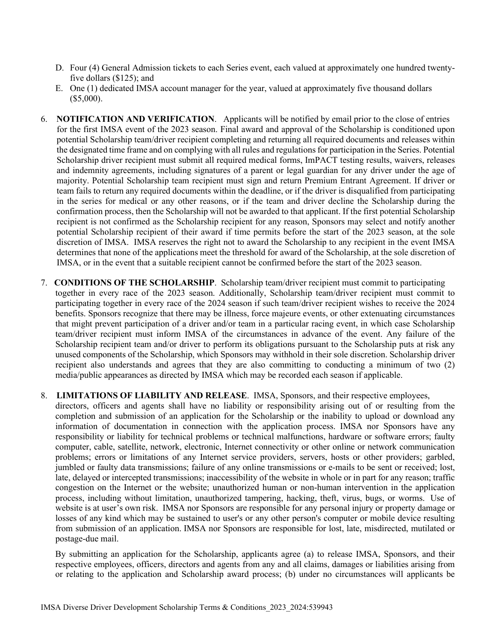- D. Four (4) General Admission tickets to each Series event, each valued at approximately one hundred twentyfive dollars (\$125); and
- E. One (1) dedicated IMSA account manager for the year, valued at approximately five thousand dollars (\$5,000).
- 6. **NOTIFICATION AND VERIFICATION**. Applicants will be notified by email prior to the close of entries for the first IMSA event of the 2023 season. Final award and approval of the Scholarship is conditioned upon potential Scholarship team/driver recipient completing and returning all required documents and releases within the designated time frame and on complying with all rules and regulations for participation in the Series. Potential Scholarship driver recipient must submit all required medical forms, ImPACT testing results, waivers, releases and indemnity agreements, including signatures of a parent or legal guardian for any driver under the age of majority. Potential Scholarship team recipient must sign and return Premium Entrant Agreement. If driver or team fails to return any required documents within the deadline, or if the driver is disqualified from participating in the series for medical or any other reasons, or if the team and driver decline the Scholarship during the confirmation process, then the Scholarship will not be awarded to that applicant. If the first potential Scholarship recipient is not confirmed as the Scholarship recipient for any reason, Sponsors may select and notify another potential Scholarship recipient of their award if time permits before the start of the 2023 season, at the sole discretion of IMSA. IMSA reserves the right not to award the Scholarship to any recipient in the event IMSA determines that none of the applications meet the threshold for award of the Scholarship, at the sole discretion of IMSA, or in the event that a suitable recipient cannot be confirmed before the start of the 2023 season.
- 7. **CONDITIONS OF THE SCHOLARSHIP**. Scholarship team/driver recipient must commit to participating together in every race of the 2023 season. Additionally, Scholarship team/driver recipient must commit to participating together in every race of the 2024 season if such team/driver recipient wishes to receive the 2024 benefits. Sponsors recognize that there may be illness, force majeure events, or other extenuating circumstances that might prevent participation of a driver and/or team in a particular racing event, in which case Scholarship team/driver recipient must inform IMSA of the circumstances in advance of the event. Any failure of the Scholarship recipient team and/or driver to perform its obligations pursuant to the Scholarship puts at risk any unused components of the Scholarship, which Sponsors may withhold in their sole discretion. Scholarship driver recipient also understands and agrees that they are also committing to conducting a minimum of two (2) media/public appearances as directed by IMSA which may be recorded each season if applicable.

#### 8. **LIMITATIONS OF LIABILITY AND RELEASE**. IMSA, Sponsors, and their respective employees,

directors, officers and agents shall have no liability or responsibility arising out of or resulting from the completion and submission of an application for the Scholarship or the inability to upload or download any information of documentation in connection with the application process. IMSA nor Sponsors have any responsibility or liability for technical problems or technical malfunctions, hardware or software errors; faulty computer, cable, satellite, network, electronic, Internet connectivity or other online or network communication problems; errors or limitations of any Internet service providers, servers, hosts or other providers; garbled, jumbled or faulty data transmissions; failure of any online transmissions or e-mails to be sent or received; lost, late, delayed or intercepted transmissions; inaccessibility of the website in whole or in part for any reason; traffic congestion on the Internet or the website; unauthorized human or non-human intervention in the application process, including without limitation, unauthorized tampering, hacking, theft, virus, bugs, or worms. Use of website is at user's own risk. IMSA nor Sponsors are responsible for any personal injury or property damage or losses of any kind which may be sustained to user's or any other person's computer or mobile device resulting from submission of an application. IMSA nor Sponsors are responsible for lost, late, misdirected, mutilated or postage-due mail.

By submitting an application for the Scholarship, applicants agree (a) to release IMSA, Sponsors, and their respective employees, officers, directors and agents from any and all claims, damages or liabilities arising from or relating to the application and Scholarship award process; (b) under no circumstances will applicants be